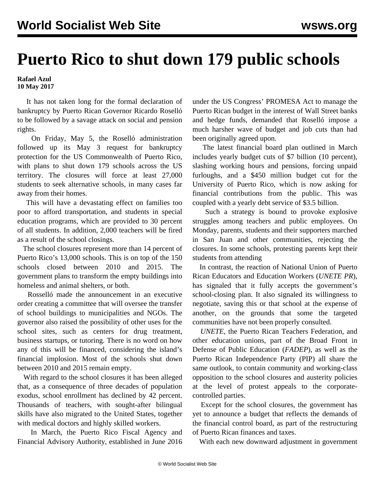## **Puerto Rico to shut down 179 public schools**

**Rafael Azul 10 May 2017**

 It has not taken long for the formal declaration of bankruptcy by Puerto Rican Governor Ricardo Roselló to be followed by a savage attack on social and pension rights.

 On Friday, May 5, the Roselló administration followed up its May 3 request for bankruptcy protection for the US Commonwealth of Puerto Rico, with plans to shut down 179 schools across the US territory. The closures will force at least 27,000 students to seek alternative schools, in many cases far away from their homes.

 This will have a devastating effect on families too poor to afford transportation, and students in special education programs, which are provided to 30 percent of all students. In addition, 2,000 teachers will be fired as a result of the school closings.

 The school closures represent more than 14 percent of Puerto Rico's 13,000 schools. This is on top of the 150 schools closed between 2010 and 2015. The government plans to transform the empty buildings into homeless and animal shelters, or both.

 Rosselló made the announcement in an executive order creating a committee that will oversee the transfer of school buildings to municipalities and NGOs. The governor also raised the possibility of other uses for the school sites, such as centers for drug treatment, business startups, or tutoring. There is no word on how any of this will be financed, considering the island's financial implosion. Most of the schools shut down between 2010 and 2015 remain empty.

 With regard to the school closures it has been alleged that, as a consequence of three decades of population exodus, school enrollment has declined by 42 percent. Thousands of teachers, with sought-after bilingual skills have also migrated to the United States, together with medical doctors and highly skilled workers.

 In March, the Puerto Rico Fiscal Agency and Financial Advisory Authority, established in June 2016 under the US Congress' PROMESA Act to manage the Puerto Rican budget in the interest of Wall Street banks and hedge funds, demanded that Roselló impose a much harsher wave of budget and job cuts than had been originally agreed upon.

 The latest financial board plan outlined in March includes yearly budget cuts of \$7 billion (10 percent), slashing working hours and pensions, forcing unpaid furloughs, and a \$450 million budget cut for the University of Puerto Rico, which is now asking for financial contributions from the public. This was coupled with a yearly debt service of \$3.5 billion.

 Such a strategy is bound to provoke explosive struggles among teachers and public employees. On Monday, parents, students and their supporters marched in San Juan and other communities, rejecting the closures. In some schools, protesting parents kept their students from attending

 In contrast, the reaction of National Union of Puerto Rican Educators and Education Workers (*UNETE PR*), has signaled that it fully accepts the government's school-closing plan. It also signaled its willingness to negotiate, saving this or that school at the expense of another, on the grounds that some the targeted communities have not been properly consulted.

 *UNETE*, the Puerto Rican Teachers Federation, and other education unions, part of the Broad Front in Defense of Public Education (*FADEP*), as well as the Puerto Rican Independence Party (PIP) all share the same outlook, to contain community and working-class opposition to the school closures and austerity policies at the level of protest appeals to the corporatecontrolled parties.

 Except for the school closures, the government has yet to announce a budget that reflects the demands of the financial control board, as part of the restructuring of Puerto Rican finances and taxes.

With each new downward adjustment in government